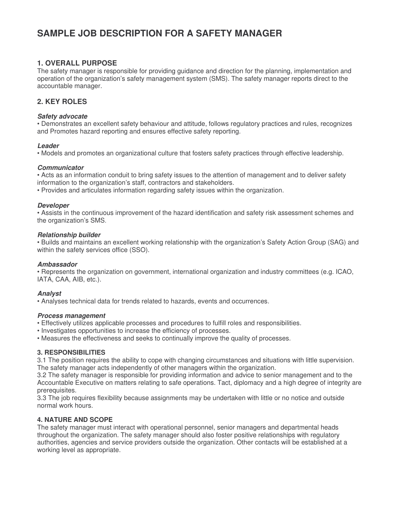# **SAMPLE JOB DESCRIPTION FOR A SAFETY MANAGER**

## **1. OVERALL PURPOSE**

The safety manager is responsible for providing guidance and direction for the planning, implementation and operation of the organization's safety management system (SMS). The safety manager reports direct to the accountable manager.

# **2. KEY ROLES**

#### *Safety advocate*

• Demonstrates an excellent safety behaviour and attitude, follows regulatory practices and rules, recognizes and Promotes hazard reporting and ensures effective safety reporting.

#### *Leader*

• Models and promotes an organizational culture that fosters safety practices through effective leadership.

#### *Communicator*

• Acts as an information conduit to bring safety issues to the attention of management and to deliver safety information to the organization's staff, contractors and stakeholders.

• Provides and articulates information regarding safety issues within the organization.

#### *Developer*

• Assists in the continuous improvement of the hazard identification and safety risk assessment schemes and the organization's SMS.

#### *Relationship builder*

• Builds and maintains an excellent working relationship with the organization's Safety Action Group (SAG) and within the safety services office (SSO).

#### *Ambassador*

• Represents the organization on government, international organization and industry committees (e.g. ICAO, IATA, CAA, AIB, etc.).

#### *Analyst*

• Analyses technical data for trends related to hazards, events and occurrences.

#### *Process management*

• Effectively utilizes applicable processes and procedures to fulfill roles and responsibilities.

• Investigates opportunities to increase the efficiency of processes.

• Measures the effectiveness and seeks to continually improve the quality of processes.

### **3. RESPONSIBILITIES**

3.1 The position requires the ability to cope with changing circumstances and situations with little supervision. The safety manager acts independently of other managers within the organization.

3.2 The safety manager is responsible for providing information and advice to senior management and to the Accountable Executive on matters relating to safe operations. Tact, diplomacy and a high degree of integrity are prerequisites.

3.3 The job requires flexibility because assignments may be undertaken with little or no notice and outside normal work hours.

### **4. NATURE AND SCOPE**

The safety manager must interact with operational personnel, senior managers and departmental heads throughout the organization. The safety manager should also foster positive relationships with regulatory authorities, agencies and service providers outside the organization. Other contacts will be established at a working level as appropriate.